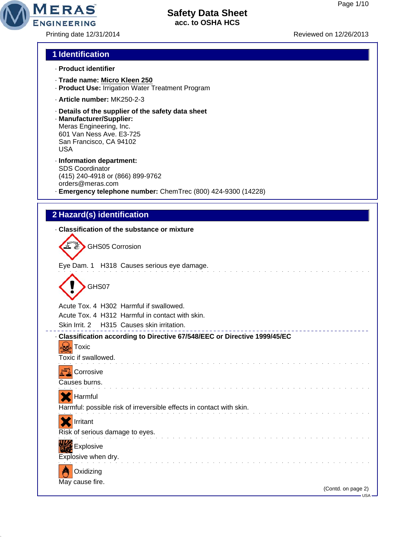**MERAS** 

**ENGINEERING** 

Printing date 12/31/2014 Reviewed on 12/26/2013

# **1 Identification**

- · **Product identifier**
- · **Trade name: Micro Kleen 250**
- · **Product Use:** Irrigation Water Treatment Program
- · **Article number:** MK250-2-3
- · **Details of the supplier of the safety data sheet**
- · **Manufacturer/Supplier:** Meras Engineering, Inc. 601 Van Ness Ave. E3-725 San Francisco, CA 94102 USA
- · **Information department:** SDS Coordinator (415) 240-4918 or (866) 899-9762 orders@meras.com · **Emergency telephone number:** ChemTrec (800) 424-9300 (14228)

# **2 Hazard(s) identification**

### · **Classification of the substance or mixture**

|       | GHS05 Corrosion                            |
|-------|--------------------------------------------|
|       | Eye Dam. 1 H318 Causes serious eye damage. |
| GHS07 |                                            |

Acute Tox. 4 H302 Harmful if swallowed.

Acute Tox. 4 H312 Harmful in contact with skin.

Skin Irrit. 2 H315 Causes skin irritation.

## · **Classification according to Directive 67/548/EEC or Directive 1999/45/EC**

**Toxic** Toxic if swallowed.

 $\curvearrowright$ 

٠

| Corrosive   |
|-------------|
| Causes hums |



|  |  |  |  |  |  | Harmful: possible risk of irreversible effects in contact with skin. |  |  |  |  |  |  |  |  |  |  |  |
|--|--|--|--|--|--|----------------------------------------------------------------------|--|--|--|--|--|--|--|--|--|--|--|
|  |  |  |  |  |  |                                                                      |  |  |  |  |  |  |  |  |  |  |  |

**X** Irritant Risk of serious damage to eyes.





May cause fire.

 $\begin{array}{cccccccccc} \bot & \bot & \bot & \bot & \bot & \bot \end{array}$ 

. . . . . . . . . . . .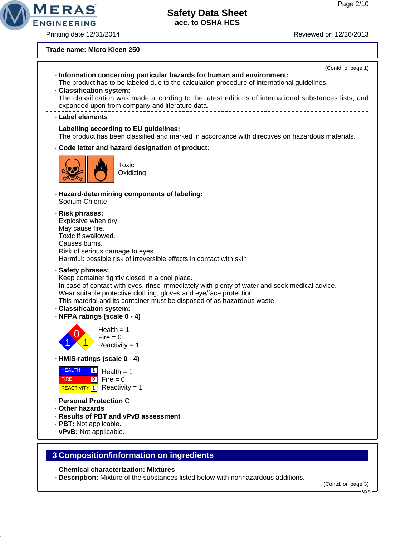Printing date 12/31/2014 **Printing date 12/31/2014** Reviewed on 12/26/2013

**MERAS** 

**ENGINEERING** 

### **Trade name: Micro Kleen 250**

| (Contd. of page 1)                                                                                                                                                                                                                                                                                                                                                                |
|-----------------------------------------------------------------------------------------------------------------------------------------------------------------------------------------------------------------------------------------------------------------------------------------------------------------------------------------------------------------------------------|
| · Information concerning particular hazards for human and environment:<br>The product has to be labeled due to the calculation procedure of international guidelines.<br>· Classification system:                                                                                                                                                                                 |
| The classification was made according to the latest editions of international substances lists, and<br>expanded upon from company and literature data.                                                                                                                                                                                                                            |
| Label elements                                                                                                                                                                                                                                                                                                                                                                    |
| · Labelling according to EU guidelines:<br>The product has been classified and marked in accordance with directives on hazardous materials.                                                                                                                                                                                                                                       |
| · Code letter and hazard designation of product:                                                                                                                                                                                                                                                                                                                                  |
| Toxic<br>Oxidizing                                                                                                                                                                                                                                                                                                                                                                |
| · Hazard-determining components of labeling:<br>Sodium Chlorite                                                                                                                                                                                                                                                                                                                   |
| · Risk phrases:<br>Explosive when dry.<br>May cause fire.<br>Toxic if swallowed.<br>Causes burns.<br>Risk of serious damage to eyes.<br>Harmful: possible risk of irreversible effects in contact with skin.                                                                                                                                                                      |
| · Safety phrases:<br>Keep container tightly closed in a cool place.<br>In case of contact with eyes, rinse immediately with plenty of water and seek medical advice.<br>Wear suitable protective clothing, gloves and eye/face protection.<br>This material and its container must be disposed of as hazardous waste.<br>· Classification system:<br>· NFPA ratings (scale 0 - 4) |
| Health $= 1$<br>$Fire = 0$<br>Reactivity = $1$                                                                                                                                                                                                                                                                                                                                    |
| - HMIS-ratings (scale 0 - 4)                                                                                                                                                                                                                                                                                                                                                      |
| <b>HEALTH</b><br> 1 <br>Health $= 1$<br>$Fire = 0$<br>$\mathbf 0$<br><b>FIRE</b><br>Reactivity = $1$<br>REACTIVITY <sup>1</sup>                                                                                                                                                                                                                                                   |
| - Personal Protection C<br>. Other hazards<br>- Results of PBT and vPvB assessment<br>· PBT: Not applicable.<br>· vPvB: Not applicable.                                                                                                                                                                                                                                           |
| 3 Composition/information on ingredients                                                                                                                                                                                                                                                                                                                                          |

### · **Chemical characterization: Mixtures**

· **Description:** Mixture of the substances listed below with nonhazardous additions.

(Contd. on page 3)

 $-$  USA -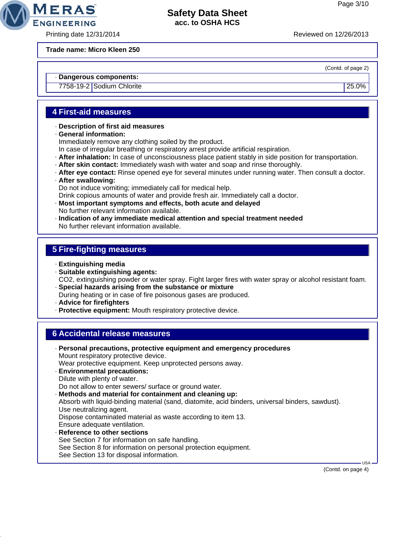

Printing date 12/31/2014 Reviewed on 12/26/2013

**MERAS** 

**ENGINEERING** 

**Trade name: Micro Kleen 250**

(Contd. of page 2)

· **Dangerous components:**

7758-19-2 Sodium Chlorite 25.0%

# **4 First-aid measures**

- · **Description of first aid measures**
- · **General information:**
- Immediately remove any clothing soiled by the product.
- In case of irregular breathing or respiratory arrest provide artificial respiration.
- · **After inhalation:** In case of unconsciousness place patient stably in side position for transportation.
- · **After skin contact:** Immediately wash with water and soap and rinse thoroughly.
- · **After eye contact:** Rinse opened eye for several minutes under running water. Then consult a doctor.

## · **After swallowing:**

Do not induce vomiting; immediately call for medical help.

Drink copious amounts of water and provide fresh air. Immediately call a doctor.

- · **Most important symptoms and effects, both acute and delayed** No further relevant information available.
- · **Indication of any immediate medical attention and special treatment needed** No further relevant information available.

# **5 Fire-fighting measures**

- · **Extinguishing media**
- · **Suitable extinguishing agents:**
- CO2, extinguishing powder or water spray. Fight larger fires with water spray or alcohol resistant foam. · **Special hazards arising from the substance or mixture**
- During heating or in case of fire poisonous gases are produced.
- · **Advice for firefighters**
- · **Protective equipment:** Mouth respiratory protective device.

## **6 Accidental release measures**

- · **Personal precautions, protective equipment and emergency procedures** Mount respiratory protective device. Wear protective equipment. Keep unprotected persons away. · **Environmental precautions:** Dilute with plenty of water. Do not allow to enter sewers/ surface or ground water. · **Methods and material for containment and cleaning up:** Absorb with liquid-binding material (sand, diatomite, acid binders, universal binders, sawdust). Use neutralizing agent. Dispose contaminated material as waste according to item 13. Ensure adequate ventilation. · **Reference to other sections** See Section 7 for information on safe handling.
	- See Section 8 for information on personal protection equipment.
- See Section 13 for disposal information.

(Contd. on page 4)

USA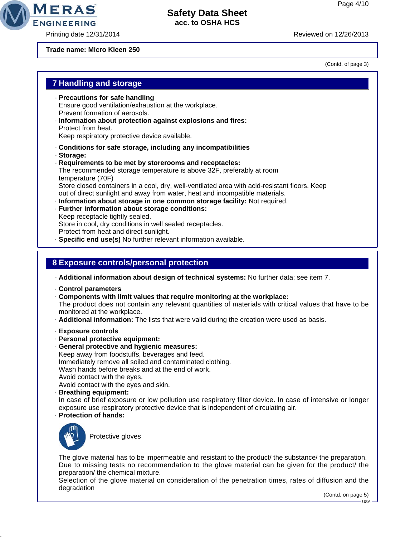Printing date 12/31/2014 Reviewed on 12/26/2013

**MERAS** 

**ENGINEERING** 

**Trade name: Micro Kleen 250**

(Contd. of page 3)

# **7 Handling and storage** · **Precautions for safe handling** Ensure good ventilation/exhaustion at the workplace. Prevent formation of aerosols. · **Information about protection against explosions and fires:** Protect from heat. Keep respiratory protective device available. · **Conditions for safe storage, including any incompatibilities** · **Storage:** · **Requirements to be met by storerooms and receptacles:** The recommended storage temperature is above 32F, preferably at room temperature (70F) Store closed containers in a cool, dry, well-ventilated area with acid-resistant floors. Keep out of direct sunlight and away from water, heat and incompatible materials. · **Information about storage in one common storage facility:** Not required. · **Further information about storage conditions:** Keep receptacle tightly sealed. Store in cool, dry conditions in well sealed receptacles. Protect from heat and direct sunlight. · **Specific end use(s)** No further relevant information available. **8 Exposure controls/personal protection** · **Additional information about design of technical systems:** No further data; see item 7. · **Control parameters** · **Components with limit values that require monitoring at the workplace:** The product does not contain any relevant quantities of materials with critical values that have to be monitored at the workplace. · **Additional information:** The lists that were valid during the creation were used as basis. · **Exposure controls** · **Personal protective equipment:** · **General protective and hygienic measures:** Keep away from foodstuffs, beverages and feed. Immediately remove all soiled and contaminated clothing. Wash hands before breaks and at the end of work. Avoid contact with the eyes. Avoid contact with the eyes and skin. · **Breathing equipment:** In case of brief exposure or low pollution use respiratory filter device. In case of intensive or longer exposure use respiratory protective device that is independent of circulating air. · **Protection of hands:** Protective gloves The glove material has to be impermeable and resistant to the product/ the substance/ the preparation.

Due to missing tests no recommendation to the glove material can be given for the product/ the preparation/ the chemical mixture.

Selection of the glove material on consideration of the penetration times, rates of diffusion and the degradation

(Contd. on page 5) USA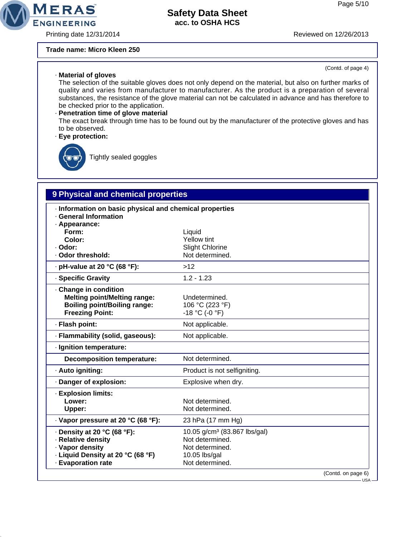(Contd. of page 4)

# **Safety Data Sheet acc. to OSHA HCS**

Printing date 12/31/2014 Reviewed on 12/26/2013

**MERAS** 

**ENGINEERING** 

**Trade name: Micro Kleen 250**

### · **Material of gloves**

The selection of the suitable gloves does not only depend on the material, but also on further marks of quality and varies from manufacturer to manufacturer. As the product is a preparation of several substances, the resistance of the glove material can not be calculated in advance and has therefore to

# be checked prior to the application. · **Penetration time of glove material**

The exact break through time has to be found out by the manufacturer of the protective gloves and has to be observed.

## · **Eye protection:**

Tightly sealed goggles

# **9 Physical and chemical properties**

| Information on basic physical and chemical properties<br>· General Information<br>· Appearance:                                       |                                                                                                                    |
|---------------------------------------------------------------------------------------------------------------------------------------|--------------------------------------------------------------------------------------------------------------------|
| Form:                                                                                                                                 | Liquid                                                                                                             |
| Color:                                                                                                                                | Yellow tint                                                                                                        |
| - Odor:                                                                                                                               | Slight Chlorine                                                                                                    |
| · Odor threshold:                                                                                                                     | Not determined.                                                                                                    |
| · pH-value at 20 °C (68 °F):                                                                                                          | $>12$                                                                                                              |
| · Specific Gravity                                                                                                                    | $1.2 - 1.23$                                                                                                       |
| Change in condition<br><b>Melting point/Melting range:</b><br><b>Boiling point/Boiling range:</b><br><b>Freezing Point:</b>           | Undetermined.<br>106 °C (223 °F)<br>$-18 °C$ (-0 °F)                                                               |
| · Flash point:                                                                                                                        | Not applicable.                                                                                                    |
| · Flammability (solid, gaseous):                                                                                                      | Not applicable.                                                                                                    |
| · Ignition temperature:                                                                                                               |                                                                                                                    |
| <b>Decomposition temperature:</b>                                                                                                     | Not determined.                                                                                                    |
| · Auto igniting:                                                                                                                      | Product is not selfigniting.                                                                                       |
| Danger of explosion:                                                                                                                  | Explosive when dry.                                                                                                |
| · Explosion limits:<br>Lower:<br>Upper:                                                                                               | Not determined.<br>Not determined.                                                                                 |
| · Vapor pressure at 20 °C (68 °F):                                                                                                    | 23 hPa (17 mm Hg)                                                                                                  |
| $\cdot$ Density at 20 °C (68 °F):<br>· Relative density<br>· Vapor density<br>· Liquid Density at 20 °C (68 °F)<br>· Evaporation rate | 10.05 g/cm <sup>3</sup> (83.867 lbs/gal)<br>Not determined.<br>Not determined.<br>10.05 lbs/gal<br>Not determined. |
|                                                                                                                                       | (Contd. on page 6)                                                                                                 |

USA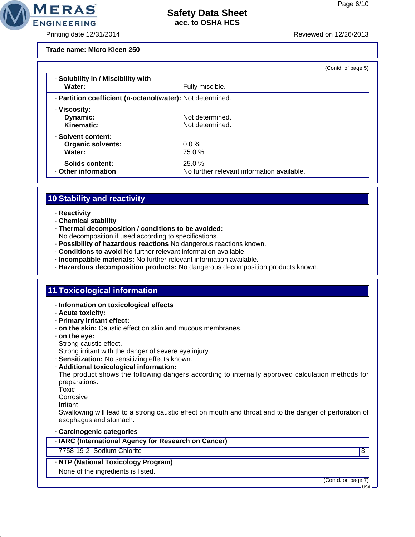

Printing date 12/31/2014 Reviewed on 12/26/2013

**MERAS** 

**ENGINEERING** 

### **Trade name: Micro Kleen 250**

|                                                            |                                                     | (Contd. of page 5) |
|------------------------------------------------------------|-----------------------------------------------------|--------------------|
| Solubility in / Miscibility with<br>Water:                 | Fully miscible.                                     |                    |
| - Partition coefficient (n-octanol/water): Not determined. |                                                     |                    |
| · Viscosity:<br>Dynamic:<br>Kinematic:                     | Not determined.<br>Not determined.                  |                    |
| · Solvent content:<br><b>Organic solvents:</b><br>Water:   | $0.0 \%$<br>75.0 %                                  |                    |
| Solids content:<br>Other information                       | 25.0%<br>No further relevant information available. |                    |

# **10 Stability and reactivity**

- · **Reactivity**
- · **Chemical stability**
- · **Thermal decomposition / conditions to be avoided:**
- No decomposition if used according to specifications.
- · **Possibility of hazardous reactions** No dangerous reactions known.
- · **Conditions to avoid** No further relevant information available.
- · **Incompatible materials:** No further relevant information available.
- · **Hazardous decomposition products:** No dangerous decomposition products known.

## **11 Toxicological information**

- · **Information on toxicological effects**
- · **Acute toxicity:**
- · **Primary irritant effect:**
- · **on the skin:** Caustic effect on skin and mucous membranes.
- · **on the eye:** Strong caustic effect.
	- Strong irritant with the danger of severe eye injury.
- · **Sensitization:** No sensitizing effects known.
- · **Additional toxicological information:**

The product shows the following dangers according to internally approved calculation methods for preparations:

- Toxic
- **Corrosive**
- Irritant

Swallowing will lead to a strong caustic effect on mouth and throat and to the danger of perforation of esophagus and stomach.

### · **Carcinogenic categories**

|  |  | · IARC (International Agency for Research on Cancer) |  |
|--|--|------------------------------------------------------|--|
|--|--|------------------------------------------------------|--|

7758-19-2 Sodium Chlorite 3

## · **NTP (National Toxicology Program)**

None of the ingredients is listed.

(Contd. on page 7)

USA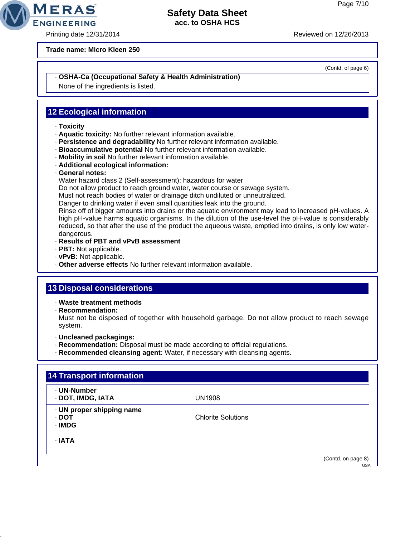**MERAS** 

**ENGINEERING** 

Printing date 12/31/2014 Reviewed on 12/26/2013

**Trade name: Micro Kleen 250**

(Contd. of page 6)

## · **OSHA-Ca (Occupational Safety & Health Administration)**

None of the ingredients is listed.

# **12 Ecological information**

- · **Toxicity**
- · **Aquatic toxicity:** No further relevant information available.
- · **Persistence and degradability** No further relevant information available.
- · **Bioaccumulative potential** No further relevant information available.
- · **Mobility in soil** No further relevant information available.
- · **Additional ecological information:**
- · **General notes:**

Water hazard class 2 (Self-assessment): hazardous for water

Do not allow product to reach ground water, water course or sewage system.

Must not reach bodies of water or drainage ditch undiluted or unneutralized.

Danger to drinking water if even small quantities leak into the ground.

Rinse off of bigger amounts into drains or the aquatic environment may lead to increased pH-values. A high pH-value harms aquatic organisms. In the dilution of the use-level the pH-value is considerably reduced, so that after the use of the product the aqueous waste, emptied into drains, is only low waterdangerous.

- · **Results of PBT and vPvB assessment**
- · **PBT:** Not applicable.
- · **vPvB:** Not applicable.
- · **Other adverse effects** No further relevant information available.

## **13 Disposal considerations**

- · **Waste treatment methods**
- · **Recommendation:**

Must not be disposed of together with household garbage. Do not allow product to reach sewage system.

- · **Uncleaned packagings:**
- · **Recommendation:** Disposal must be made according to official regulations.
- · **Recommended cleansing agent:** Water, if necessary with cleansing agents.

| · UN-Number<br>· DOT, IMDG, IATA             | <b>UN1908</b>             |  |
|----------------------------------------------|---------------------------|--|
| · UN proper shipping name<br>· DOT<br>· IMDG | <b>Chlorite Solutions</b> |  |
| $\cdot$ IATA                                 |                           |  |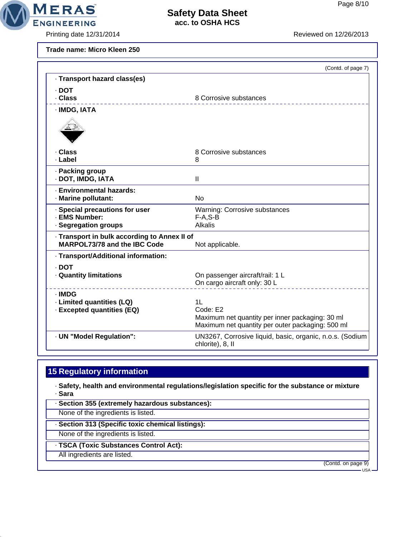

**MERAS** 

**ENGINEERING** 

Printing date 12/31/2014 **Reviewed on 12/26/2013** 

**Trade name: Micro Kleen 250**

|                                              | (Contd. of page 7)                                                           |
|----------------------------------------------|------------------------------------------------------------------------------|
| · Transport hazard class(es)                 |                                                                              |
| · DOT                                        |                                                                              |
| . Class                                      | 8 Corrosive substances                                                       |
| · IMDG, IATA                                 |                                                                              |
|                                              |                                                                              |
| . Class                                      | 8 Corrosive substances                                                       |
| · Label                                      | 8                                                                            |
| · Packing group                              |                                                                              |
| · DOT, IMDG, IATA                            | $\mathbf{II}$                                                                |
| · Environmental hazards:                     |                                                                              |
| · Marine pollutant:                          | <b>No</b>                                                                    |
| · Special precautions for user               | <b>Warning: Corrosive substances</b>                                         |
| - EMS Number:                                | $F-A, S-B$                                                                   |
| · Segregation groups                         | <b>Alkalis</b>                                                               |
| · Transport in bulk according to Annex II of |                                                                              |
| <b>MARPOL73/78 and the IBC Code</b>          | Not applicable.                                                              |
| · Transport/Additional information:          |                                                                              |
| . DOT                                        |                                                                              |
| <b>Quantity limitations</b>                  | On passenger aircraft/rail: 1 L                                              |
|                                              | On cargo aircraft only: 30 L                                                 |
| · IMDG                                       |                                                                              |
| · Limited quantities (LQ)                    | 1 <sub>L</sub>                                                               |
| · Excepted quantities (EQ)                   | Code: E2                                                                     |
|                                              | Maximum net quantity per inner packaging: 30 ml                              |
|                                              | Maximum net quantity per outer packaging: 500 ml                             |
| · UN "Model Regulation":                     | UN3267, Corrosive liquid, basic, organic, n.o.s. (Sodium<br>chlorite), 8, II |

# **15 Regulatory information**

· **Safety, health and environmental regulations/legislation specific for the substance or mixture** · **Sara**

· **Section 355 (extremely hazardous substances):**

None of the ingredients is listed.

· **Section 313 (Specific toxic chemical listings):**

None of the ingredients is listed.

· **TSCA (Toxic Substances Control Act):**

All ingredients are listed.

(Contd. on page 9)

- USA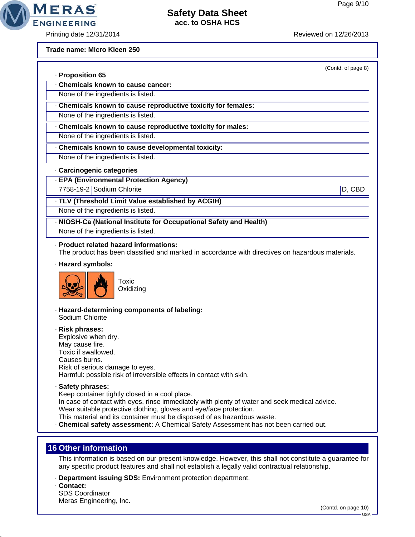

Printing date 12/31/2014 Reviewed on 12/26/2013

**MERAS** 

**ENGINEERING** 

· **Proposition 65**

**Trade name: Micro Kleen 250**

(Contd. of page 8)

|  | Chemicals known to cause cancer: |  |  |
|--|----------------------------------|--|--|
|  |                                  |  |  |

None of the ingredients is listed.

· **Chemicals known to cause reproductive toxicity for females:**

None of the ingredients is listed.

· **Chemicals known to cause reproductive toxicity for males:**

None of the ingredients is listed.

· **Chemicals known to cause developmental toxicity:**

None of the ingredients is listed.

### · **Carcinogenic categories**

· **EPA (Environmental Protection Agency)**

7758-19-2 Sodium Chlorite D, CBD

· **TLV (Threshold Limit Value established by ACGIH)**

None of the ingredients is listed.

· **NIOSH-Ca (National Institute for Occupational Safety and Health)**

None of the ingredients is listed.

### · **Product related hazard informations:**

The product has been classified and marked in accordance with directives on hazardous materials.

· **Hazard symbols:**



· **Hazard-determining components of labeling:** Sodium Chlorite

· **Risk phrases:** Explosive when dry. May cause fire. Toxic if swallowed. Causes burns. Risk of serious damage to eyes. Harmful: possible risk of irreversible effects in contact with skin.

· **Safety phrases:**

Keep container tightly closed in a cool place.

In case of contact with eyes, rinse immediately with plenty of water and seek medical advice.

Wear suitable protective clothing, gloves and eye/face protection.

This material and its container must be disposed of as hazardous waste.

· **Chemical safety assessment:** A Chemical Safety Assessment has not been carried out.

# **16 Other information**

This information is based on our present knowledge. However, this shall not constitute a guarantee for any specific product features and shall not establish a legally valid contractual relationship.

· **Department issuing SDS:** Environment protection department.

· **Contact:**

SDS Coordinator Meras Engineering, Inc.

(Contd. on page 10)